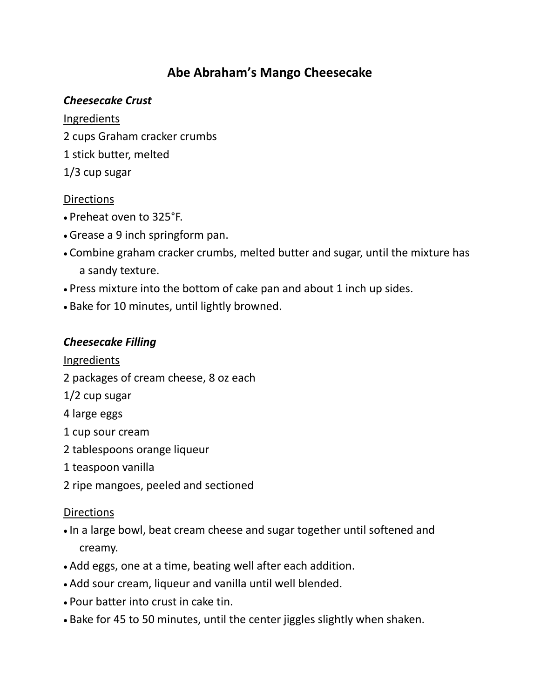# **Abe Abraham's Mango Cheesecake**

## *Cheesecake Crust*

### Ingredients

- 2 cups Graham cracker crumbs
- 1 stick butter, melted
- 1/3 cup sugar

## **Directions**

- Preheat oven to 325°F.
- Grease a 9 inch springform pan.
- Combine graham cracker crumbs, melted butter and sugar, until the mixture has a sandy texture.
- Press mixture into the bottom of cake pan and about 1 inch up sides.
- Bake for 10 minutes, until lightly browned.

## *Cheesecake Filling*

## Ingredients

- 2 packages of cream cheese, 8 oz each
- 1/2 cup sugar
- 4 large eggs
- 1 cup sour cream
- 2 tablespoons orange liqueur
- 1 teaspoon vanilla
- 2 ripe mangoes, peeled and sectioned

## **Directions**

- In a large bowl, beat cream cheese and sugar together until softened and creamy.
- Add eggs, one at a time, beating well after each addition.
- Add sour cream, liqueur and vanilla until well blended.
- Pour batter into crust in cake tin.
- Bake for 45 to 50 minutes, until the center jiggles slightly when shaken.